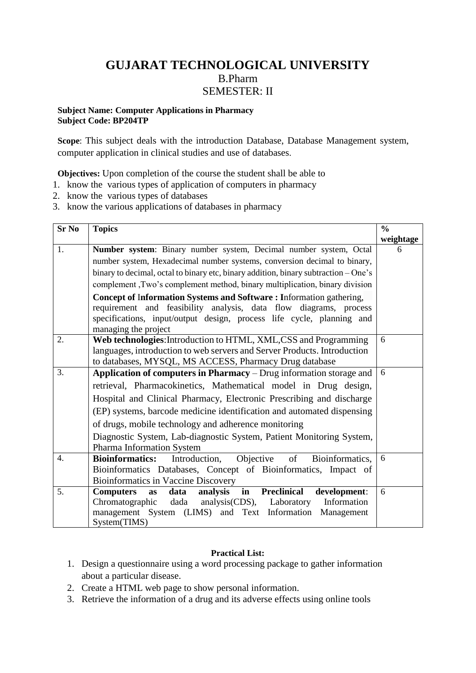## **GUJARAT TECHNOLOGICAL UNIVERSITY** B.Pharm SEMESTER: II

## **Subject Name: Computer Applications in Pharmacy Subject Code: BP204TP**

**Scope**: This subject deals with the introduction Database, Database Management system, computer application in clinical studies and use of databases.

**Objectives:** Upon completion of the course the student shall be able to

- 1. know the various types of application of computers in pharmacy
- 2. know the various types of databases
- 3. know the various applications of databases in pharmacy

| $Sr$ No          | <b>Topics</b>                                                                       | $\frac{0}{0}$ |
|------------------|-------------------------------------------------------------------------------------|---------------|
|                  |                                                                                     | weightage     |
| 1.               | Number system: Binary number system, Decimal number system, Octal                   | 6             |
|                  | number system, Hexadecimal number systems, conversion decimal to binary,            |               |
|                  | binary to decimal, octal to binary etc, binary addition, binary subtraction – One's |               |
|                  | complement ,Two's complement method, binary multiplication, binary division         |               |
|                  | Concept of Information Systems and Software: Information gathering,                 |               |
|                  | requirement and feasibility analysis, data flow diagrams, process                   |               |
|                  | specifications, input/output design, process life cycle, planning and               |               |
|                  | managing the project                                                                |               |
| 2.               | Web technologies: Introduction to HTML, XML, CSS and Programming                    | 6             |
|                  | languages, introduction to web servers and Server Products. Introduction            |               |
|                  | to databases, MYSQL, MS ACCESS, Pharmacy Drug database                              |               |
| 3.               | Application of computers in Pharmacy - Drug information storage and                 | 6             |
|                  | retrieval, Pharmacokinetics, Mathematical model in Drug design,                     |               |
|                  | Hospital and Clinical Pharmacy, Electronic Prescribing and discharge                |               |
|                  | (EP) systems, barcode medicine identification and automated dispensing              |               |
|                  | of drugs, mobile technology and adherence monitoring                                |               |
|                  | Diagnostic System, Lab-diagnostic System, Patient Monitoring System,                |               |
|                  | Pharma Information System                                                           |               |
| $\overline{4}$ . | <b>Bioinformatics:</b> Introduction, Objective of<br>Bioinformatics,                | 6             |
|                  | Bioinformatics Databases, Concept of Bioinformatics, Impact of                      |               |
|                  | Bioinformatics in Vaccine Discovery                                                 |               |
| 5.               | Preclinical<br><b>Computers</b><br>in<br>development:<br>analysis<br>data<br>as     | 6             |
|                  | Chromatographic dada analysis(CDS), Laboratory<br>Information                       |               |
|                  | management System (LIMS) and Text Information<br>Management                         |               |
|                  | System(TIMS)                                                                        |               |

## **Practical List:**

- 1. Design a questionnaire using a word processing package to gather information about a particular disease.
- 2. Create a HTML web page to show personal information.
- 3. Retrieve the information of a drug and its adverse effects using online tools